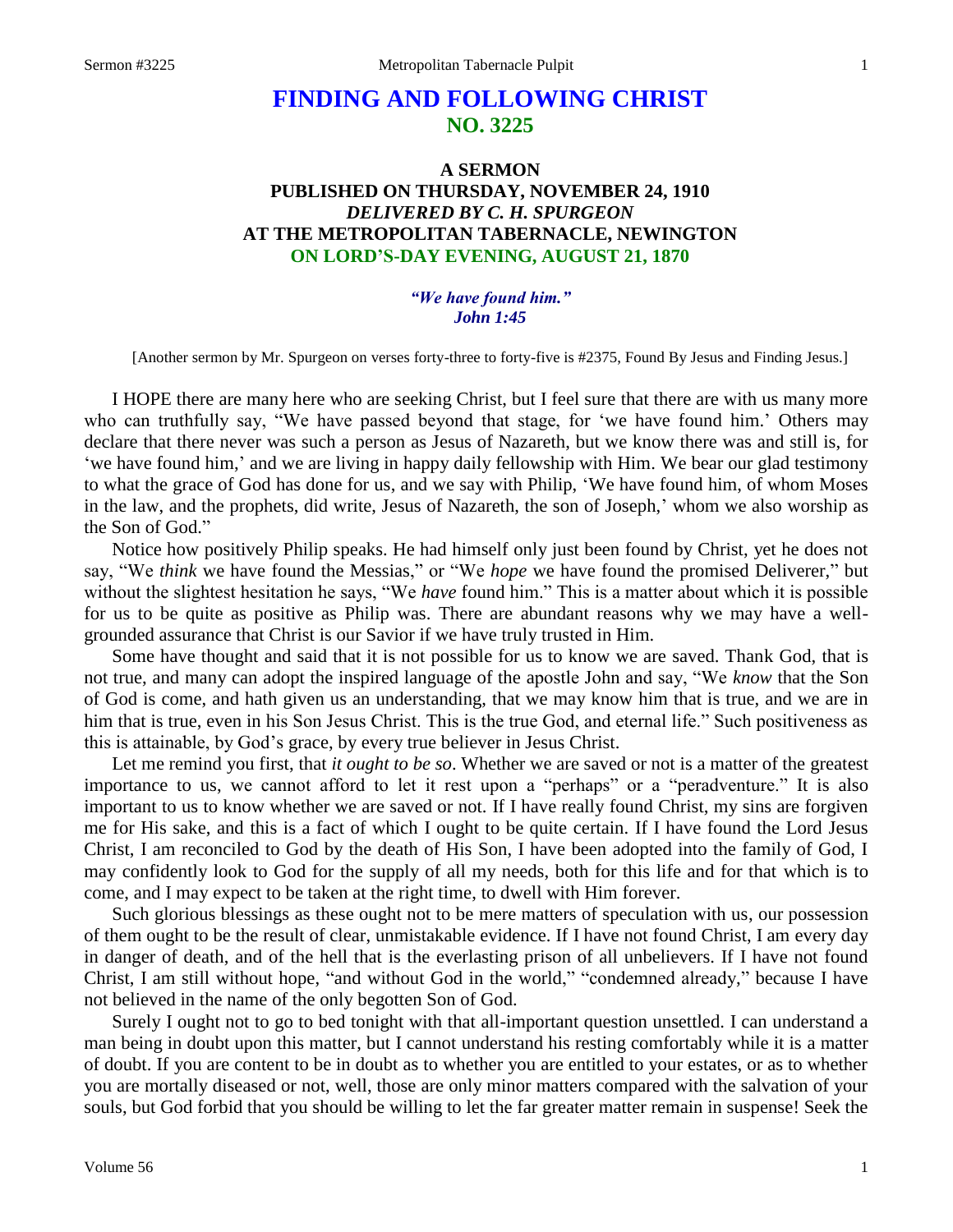# **FINDING AND FOLLOWING CHRIST NO. 3225**

# **A SERMON PUBLISHED ON THURSDAY, NOVEMBER 24, 1910** *DELIVERED BY C. H. SPURGEON* **AT THE METROPOLITAN TABERNACLE, NEWINGTON ON LORD'S-DAY EVENING, AUGUST 21, 1870**

*"We have found him." John 1:45*

[Another sermon by Mr. Spurgeon on verses forty-three to forty-five is #2375, Found By Jesus and Finding Jesus.]

I HOPE there are many here who are seeking Christ, but I feel sure that there are with us many more who can truthfully say, "We have passed beyond that stage, for 'we have found him.' Others may declare that there never was such a person as Jesus of Nazareth, but we know there was and still is, for 'we have found him,' and we are living in happy daily fellowship with Him. We bear our glad testimony to what the grace of God has done for us, and we say with Philip, 'We have found him, of whom Moses in the law, and the prophets, did write, Jesus of Nazareth, the son of Joseph,' whom we also worship as the Son of God."

Notice how positively Philip speaks. He had himself only just been found by Christ, yet he does not say, "We *think* we have found the Messias," or "We *hope* we have found the promised Deliverer," but without the slightest hesitation he says, "We *have* found him." This is a matter about which it is possible for us to be quite as positive as Philip was. There are abundant reasons why we may have a wellgrounded assurance that Christ is our Savior if we have truly trusted in Him.

Some have thought and said that it is not possible for us to know we are saved. Thank God, that is not true, and many can adopt the inspired language of the apostle John and say, "We *know* that the Son of God is come, and hath given us an understanding, that we may know him that is true, and we are in him that is true, even in his Son Jesus Christ. This is the true God, and eternal life." Such positiveness as this is attainable, by God's grace, by every true believer in Jesus Christ.

Let me remind you first, that *it ought to be so*. Whether we are saved or not is a matter of the greatest importance to us, we cannot afford to let it rest upon a "perhaps" or a "peradventure." It is also important to us to know whether we are saved or not. If I have really found Christ, my sins are forgiven me for His sake, and this is a fact of which I ought to be quite certain. If I have found the Lord Jesus Christ, I am reconciled to God by the death of His Son, I have been adopted into the family of God, I may confidently look to God for the supply of all my needs, both for this life and for that which is to come, and I may expect to be taken at the right time, to dwell with Him forever.

Such glorious blessings as these ought not to be mere matters of speculation with us, our possession of them ought to be the result of clear, unmistakable evidence. If I have not found Christ, I am every day in danger of death, and of the hell that is the everlasting prison of all unbelievers. If I have not found Christ, I am still without hope, "and without God in the world," "condemned already," because I have not believed in the name of the only begotten Son of God.

Surely I ought not to go to bed tonight with that all-important question unsettled. I can understand a man being in doubt upon this matter, but I cannot understand his resting comfortably while it is a matter of doubt. If you are content to be in doubt as to whether you are entitled to your estates, or as to whether you are mortally diseased or not, well, those are only minor matters compared with the salvation of your souls, but God forbid that you should be willing to let the far greater matter remain in suspense! Seek the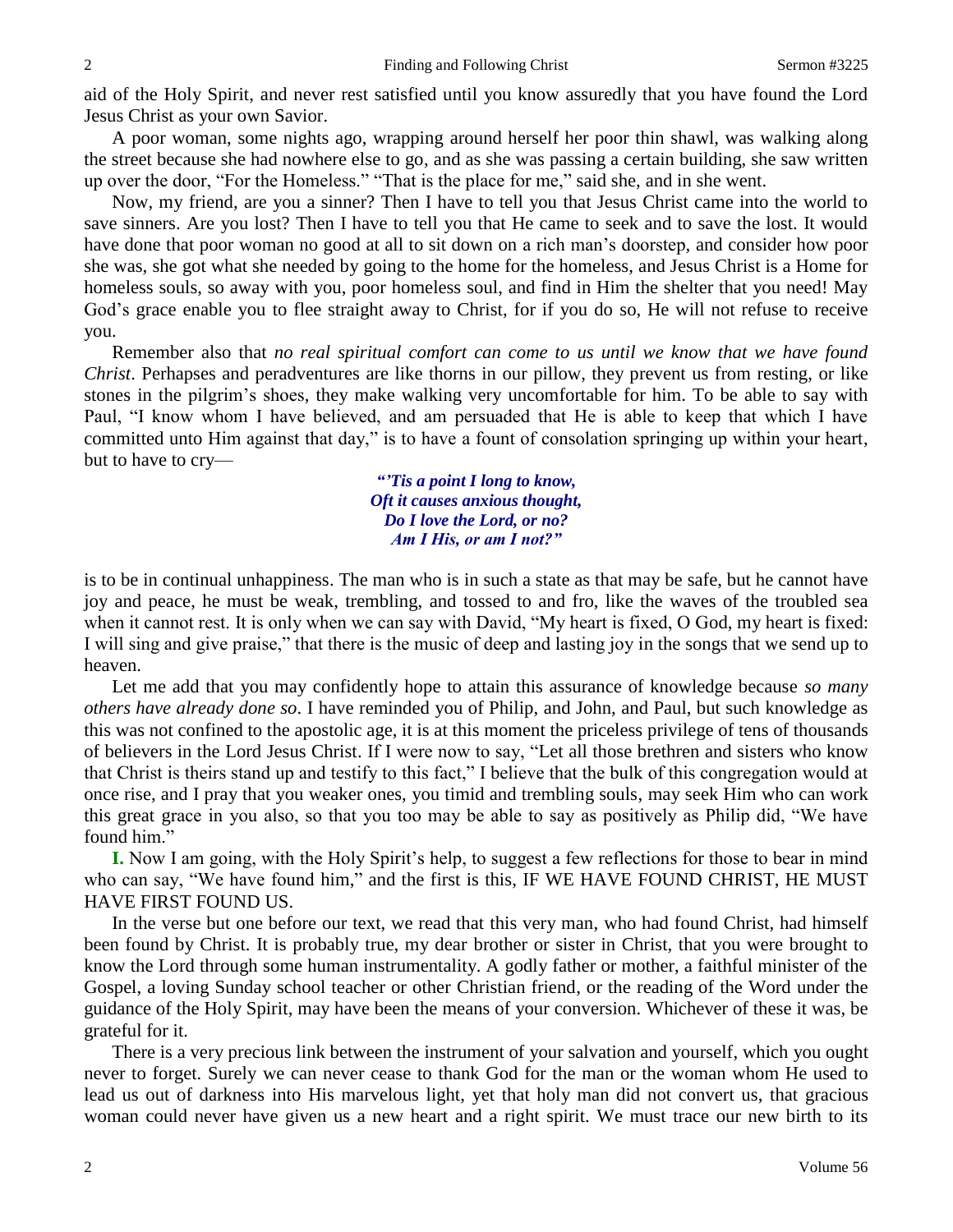aid of the Holy Spirit, and never rest satisfied until you know assuredly that you have found the Lord Jesus Christ as your own Savior.

A poor woman, some nights ago, wrapping around herself her poor thin shawl, was walking along the street because she had nowhere else to go, and as she was passing a certain building, she saw written up over the door, "For the Homeless." "That is the place for me," said she, and in she went.

Now, my friend, are you a sinner? Then I have to tell you that Jesus Christ came into the world to save sinners. Are you lost? Then I have to tell you that He came to seek and to save the lost. It would have done that poor woman no good at all to sit down on a rich man's doorstep, and consider how poor she was, she got what she needed by going to the home for the homeless, and Jesus Christ is a Home for homeless souls, so away with you, poor homeless soul, and find in Him the shelter that you need! May God's grace enable you to flee straight away to Christ, for if you do so, He will not refuse to receive you.

Remember also that *no real spiritual comfort can come to us until we know that we have found Christ*. Perhapses and peradventures are like thorns in our pillow, they prevent us from resting, or like stones in the pilgrim's shoes, they make walking very uncomfortable for him. To be able to say with Paul, "I know whom I have believed, and am persuaded that He is able to keep that which I have committed unto Him against that day," is to have a fount of consolation springing up within your heart, but to have to cry—

> *"'Tis a point I long to know, Oft it causes anxious thought, Do I love the Lord, or no? Am I His, or am I not?"*

is to be in continual unhappiness. The man who is in such a state as that may be safe, but he cannot have joy and peace, he must be weak, trembling, and tossed to and fro, like the waves of the troubled sea when it cannot rest. It is only when we can say with David, "My heart is fixed, O God, my heart is fixed: I will sing and give praise," that there is the music of deep and lasting joy in the songs that we send up to heaven.

Let me add that you may confidently hope to attain this assurance of knowledge because *so many others have already done so*. I have reminded you of Philip, and John, and Paul, but such knowledge as this was not confined to the apostolic age, it is at this moment the priceless privilege of tens of thousands of believers in the Lord Jesus Christ. If I were now to say, "Let all those brethren and sisters who know that Christ is theirs stand up and testify to this fact," I believe that the bulk of this congregation would at once rise, and I pray that you weaker ones, you timid and trembling souls, may seek Him who can work this great grace in you also, so that you too may be able to say as positively as Philip did, "We have found him."

**I.** Now I am going, with the Holy Spirit's help, to suggest a few reflections for those to bear in mind who can say, "We have found him," and the first is this, IF WE HAVE FOUND CHRIST, HE MUST HAVE FIRST FOUND US.

In the verse but one before our text, we read that this very man, who had found Christ, had himself been found by Christ. It is probably true, my dear brother or sister in Christ, that you were brought to know the Lord through some human instrumentality. A godly father or mother, a faithful minister of the Gospel, a loving Sunday school teacher or other Christian friend, or the reading of the Word under the guidance of the Holy Spirit, may have been the means of your conversion. Whichever of these it was, be grateful for it.

There is a very precious link between the instrument of your salvation and yourself, which you ought never to forget. Surely we can never cease to thank God for the man or the woman whom He used to lead us out of darkness into His marvelous light, yet that holy man did not convert us, that gracious woman could never have given us a new heart and a right spirit. We must trace our new birth to its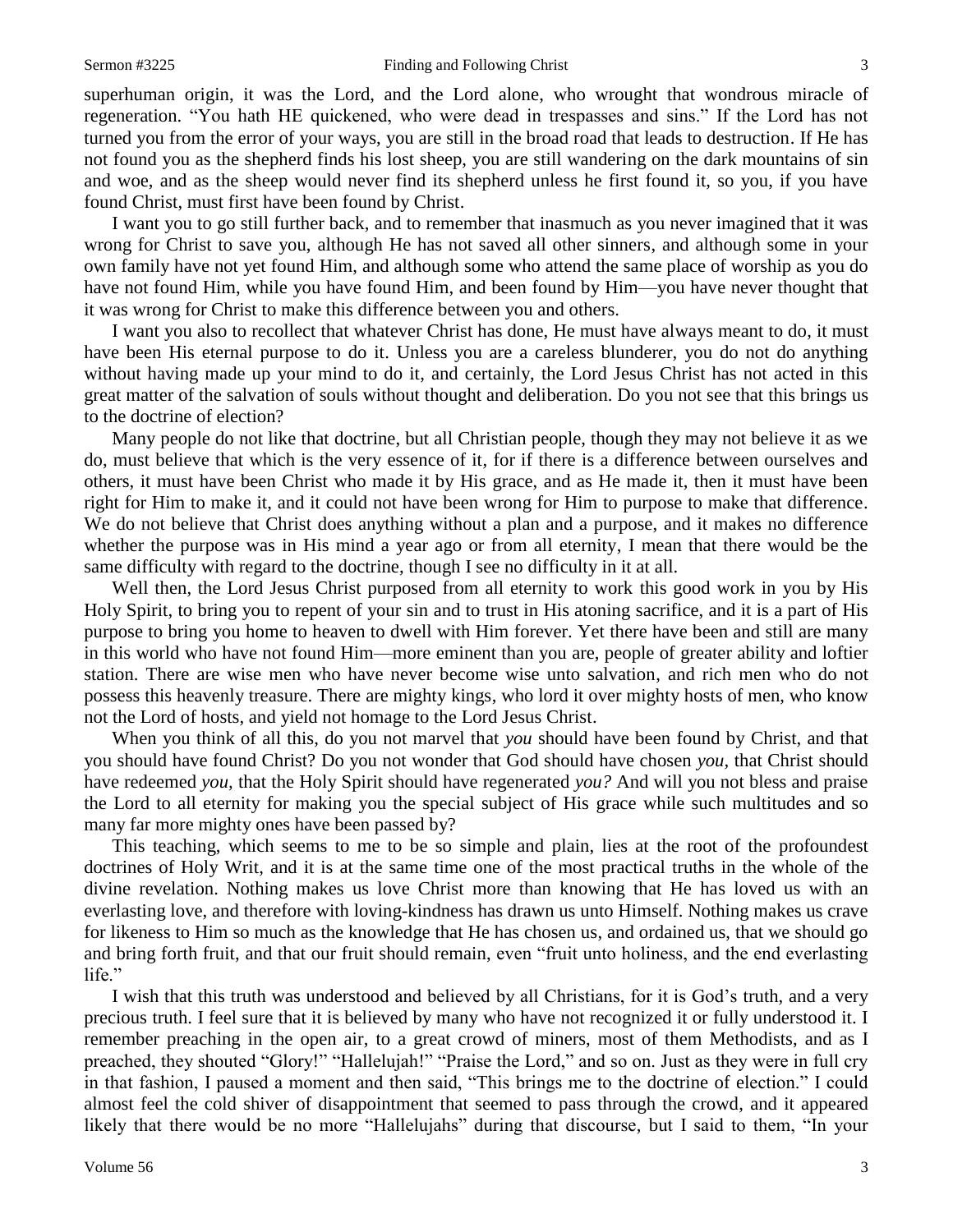#### Sermon #3225 Finding and Following Christ 3

superhuman origin, it was the Lord, and the Lord alone, who wrought that wondrous miracle of regeneration. "You hath HE quickened, who were dead in trespasses and sins." If the Lord has not turned you from the error of your ways, you are still in the broad road that leads to destruction. If He has not found you as the shepherd finds his lost sheep, you are still wandering on the dark mountains of sin and woe, and as the sheep would never find its shepherd unless he first found it, so you, if you have found Christ, must first have been found by Christ.

I want you to go still further back, and to remember that inasmuch as you never imagined that it was wrong for Christ to save you, although He has not saved all other sinners, and although some in your own family have not yet found Him, and although some who attend the same place of worship as you do have not found Him, while you have found Him, and been found by Him—you have never thought that it was wrong for Christ to make this difference between you and others.

I want you also to recollect that whatever Christ has done, He must have always meant to do, it must have been His eternal purpose to do it. Unless you are a careless blunderer, you do not do anything without having made up your mind to do it, and certainly, the Lord Jesus Christ has not acted in this great matter of the salvation of souls without thought and deliberation. Do you not see that this brings us to the doctrine of election?

Many people do not like that doctrine, but all Christian people, though they may not believe it as we do, must believe that which is the very essence of it, for if there is a difference between ourselves and others, it must have been Christ who made it by His grace, and as He made it, then it must have been right for Him to make it, and it could not have been wrong for Him to purpose to make that difference. We do not believe that Christ does anything without a plan and a purpose, and it makes no difference whether the purpose was in His mind a year ago or from all eternity, I mean that there would be the same difficulty with regard to the doctrine, though I see no difficulty in it at all.

Well then, the Lord Jesus Christ purposed from all eternity to work this good work in you by His Holy Spirit, to bring you to repent of your sin and to trust in His atoning sacrifice, and it is a part of His purpose to bring you home to heaven to dwell with Him forever. Yet there have been and still are many in this world who have not found Him—more eminent than you are, people of greater ability and loftier station. There are wise men who have never become wise unto salvation, and rich men who do not possess this heavenly treasure. There are mighty kings, who lord it over mighty hosts of men, who know not the Lord of hosts, and yield not homage to the Lord Jesus Christ.

When you think of all this, do you not marvel that *you* should have been found by Christ, and that you should have found Christ? Do you not wonder that God should have chosen *you,* that Christ should have redeemed *you,* that the Holy Spirit should have regenerated *you?* And will you not bless and praise the Lord to all eternity for making you the special subject of His grace while such multitudes and so many far more mighty ones have been passed by?

This teaching, which seems to me to be so simple and plain, lies at the root of the profoundest doctrines of Holy Writ, and it is at the same time one of the most practical truths in the whole of the divine revelation. Nothing makes us love Christ more than knowing that He has loved us with an everlasting love, and therefore with loving-kindness has drawn us unto Himself. Nothing makes us crave for likeness to Him so much as the knowledge that He has chosen us, and ordained us, that we should go and bring forth fruit, and that our fruit should remain, even "fruit unto holiness, and the end everlasting life."

I wish that this truth was understood and believed by all Christians, for it is God's truth, and a very precious truth. I feel sure that it is believed by many who have not recognized it or fully understood it. I remember preaching in the open air, to a great crowd of miners, most of them Methodists, and as I preached, they shouted "Glory!" "Hallelujah!" "Praise the Lord," and so on. Just as they were in full cry in that fashion, I paused a moment and then said, "This brings me to the doctrine of election." I could almost feel the cold shiver of disappointment that seemed to pass through the crowd, and it appeared likely that there would be no more "Hallelujahs" during that discourse, but I said to them, "In your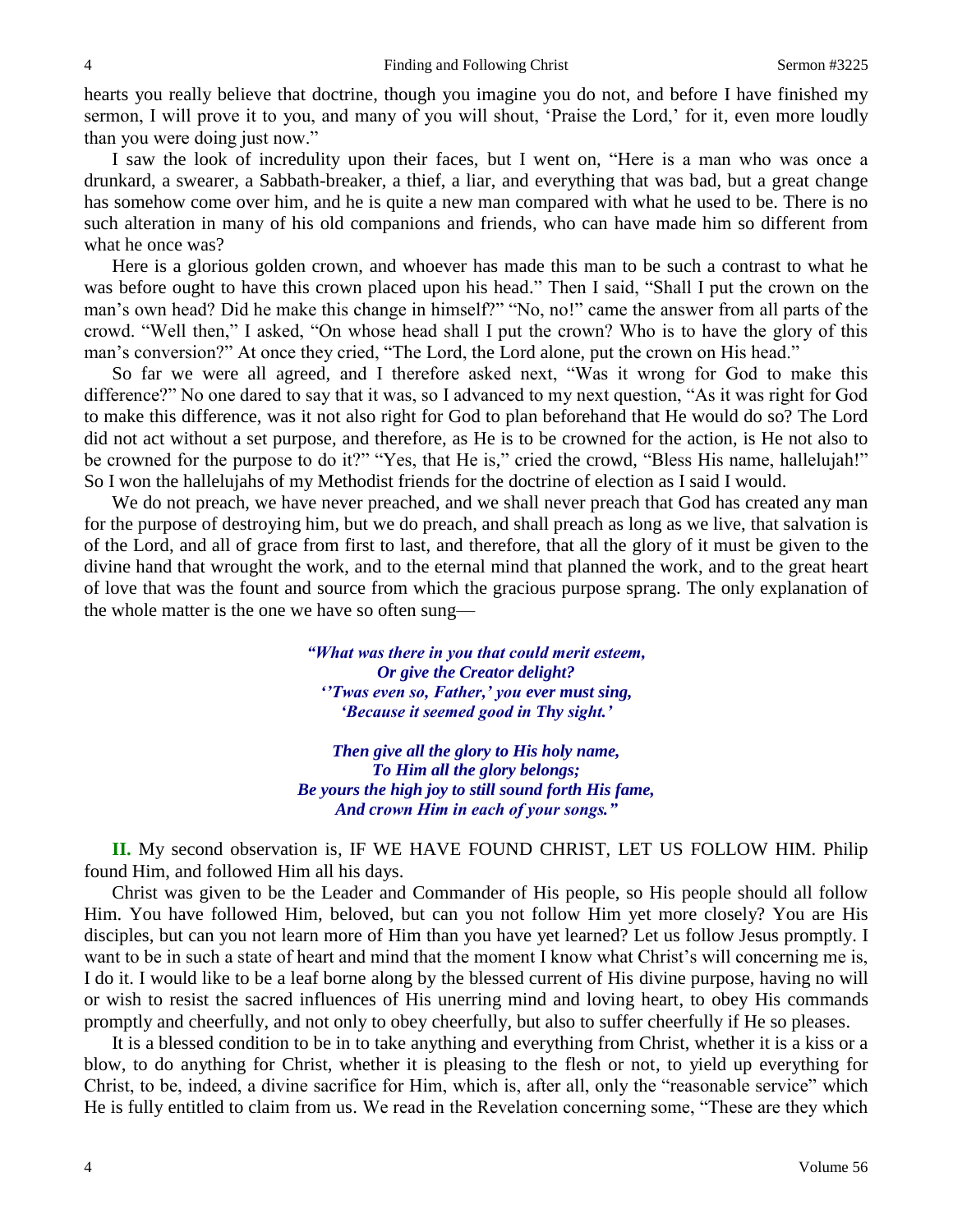hearts you really believe that doctrine, though you imagine you do not, and before I have finished my sermon, I will prove it to you, and many of you will shout, 'Praise the Lord,' for it, even more loudly than you were doing just now."

I saw the look of incredulity upon their faces, but I went on, "Here is a man who was once a drunkard, a swearer, a Sabbath-breaker, a thief, a liar, and everything that was bad, but a great change has somehow come over him, and he is quite a new man compared with what he used to be. There is no such alteration in many of his old companions and friends, who can have made him so different from what he once was?

Here is a glorious golden crown, and whoever has made this man to be such a contrast to what he was before ought to have this crown placed upon his head." Then I said, "Shall I put the crown on the man's own head? Did he make this change in himself?" "No, no!" came the answer from all parts of the crowd. "Well then," I asked, "On whose head shall I put the crown? Who is to have the glory of this man's conversion?" At once they cried, "The Lord, the Lord alone, put the crown on His head."

So far we were all agreed, and I therefore asked next, "Was it wrong for God to make this difference?" No one dared to say that it was, so I advanced to my next question, "As it was right for God to make this difference, was it not also right for God to plan beforehand that He would do so? The Lord did not act without a set purpose, and therefore, as He is to be crowned for the action, is He not also to be crowned for the purpose to do it?" "Yes, that He is," cried the crowd, "Bless His name, hallelujah!" So I won the hallelujahs of my Methodist friends for the doctrine of election as I said I would.

We do not preach, we have never preached, and we shall never preach that God has created any man for the purpose of destroying him, but we do preach, and shall preach as long as we live, that salvation is of the Lord, and all of grace from first to last, and therefore, that all the glory of it must be given to the divine hand that wrought the work, and to the eternal mind that planned the work, and to the great heart of love that was the fount and source from which the gracious purpose sprang. The only explanation of the whole matter is the one we have so often sung—

> *"What was there in you that could merit esteem, Or give the Creator delight? ''Twas even so, Father,' you ever must sing, 'Because it seemed good in Thy sight.'*

*Then give all the glory to His holy name, To Him all the glory belongs; Be yours the high joy to still sound forth His fame, And crown Him in each of your songs."*

**II.** My second observation is, IF WE HAVE FOUND CHRIST, LET US FOLLOW HIM. Philip found Him, and followed Him all his days.

Christ was given to be the Leader and Commander of His people, so His people should all follow Him. You have followed Him, beloved, but can you not follow Him yet more closely? You are His disciples, but can you not learn more of Him than you have yet learned? Let us follow Jesus promptly. I want to be in such a state of heart and mind that the moment I know what Christ's will concerning me is, I do it. I would like to be a leaf borne along by the blessed current of His divine purpose, having no will or wish to resist the sacred influences of His unerring mind and loving heart, to obey His commands promptly and cheerfully, and not only to obey cheerfully, but also to suffer cheerfully if He so pleases.

It is a blessed condition to be in to take anything and everything from Christ, whether it is a kiss or a blow, to do anything for Christ, whether it is pleasing to the flesh or not, to yield up everything for Christ, to be, indeed, a divine sacrifice for Him, which is, after all, only the "reasonable service" which He is fully entitled to claim from us. We read in the Revelation concerning some, "These are they which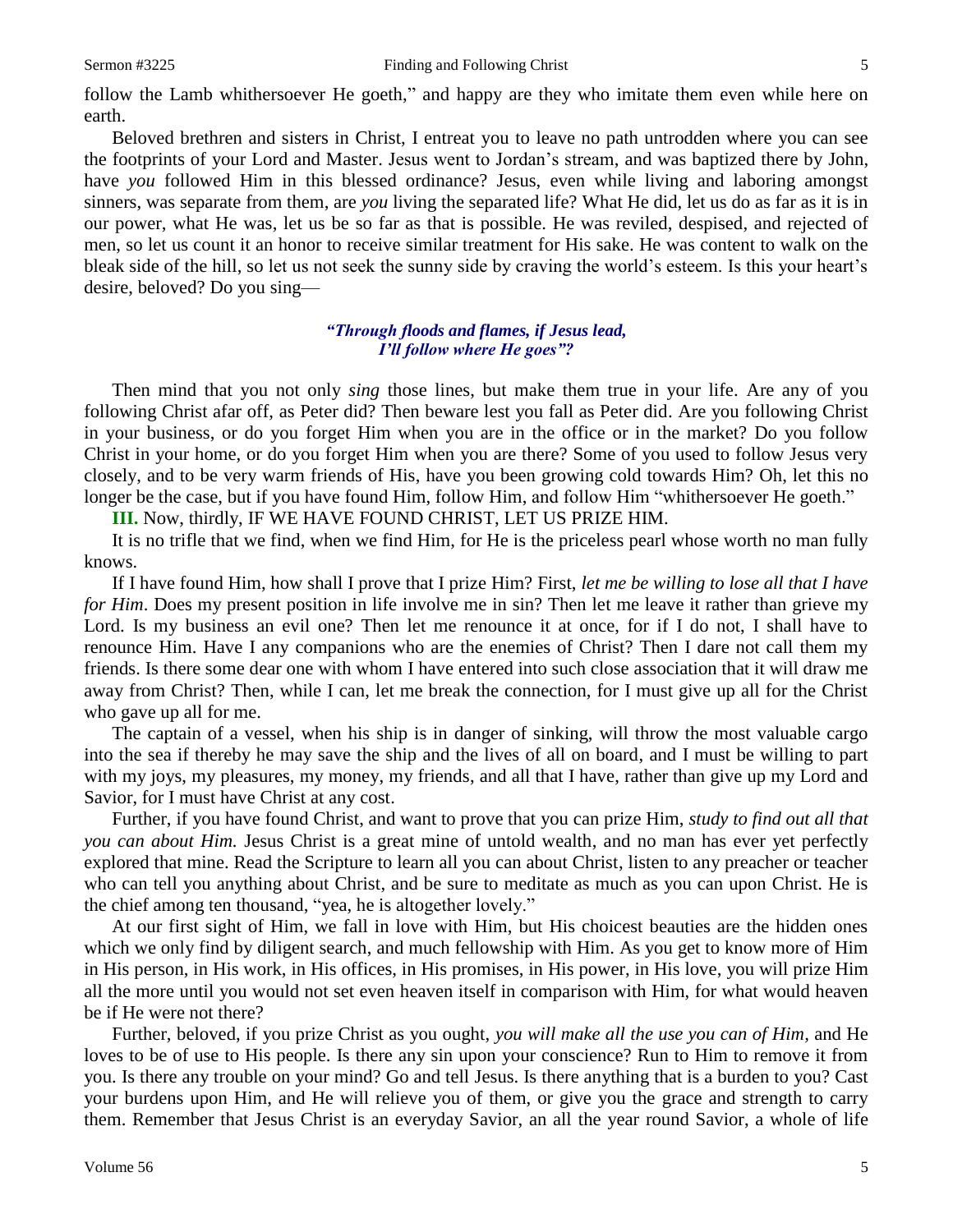Beloved brethren and sisters in Christ, I entreat you to leave no path untrodden where you can see the footprints of your Lord and Master. Jesus went to Jordan's stream, and was baptized there by John, have *you* followed Him in this blessed ordinance? Jesus, even while living and laboring amongst sinners, was separate from them, are *you* living the separated life? What He did, let us do as far as it is in our power, what He was, let us be so far as that is possible. He was reviled, despised, and rejected of men, so let us count it an honor to receive similar treatment for His sake. He was content to walk on the bleak side of the hill, so let us not seek the sunny side by craving the world's esteem. Is this your heart's desire, beloved? Do you sing—

## *"Through floods and flames, if Jesus lead, I'll follow where He goes"?*

Then mind that you not only *sing* those lines, but make them true in your life. Are any of you following Christ afar off, as Peter did? Then beware lest you fall as Peter did. Are you following Christ in your business, or do you forget Him when you are in the office or in the market? Do you follow Christ in your home, or do you forget Him when you are there? Some of you used to follow Jesus very closely, and to be very warm friends of His, have you been growing cold towards Him? Oh, let this no longer be the case, but if you have found Him, follow Him, and follow Him "whithersoever He goeth."

**III.** Now, thirdly, IF WE HAVE FOUND CHRIST, LET US PRIZE HIM.

It is no trifle that we find, when we find Him, for He is the priceless pearl whose worth no man fully knows.

If I have found Him, how shall I prove that I prize Him? First, *let me be willing to lose all that I have for Him*. Does my present position in life involve me in sin? Then let me leave it rather than grieve my Lord. Is my business an evil one? Then let me renounce it at once, for if I do not, I shall have to renounce Him. Have I any companions who are the enemies of Christ? Then I dare not call them my friends. Is there some dear one with whom I have entered into such close association that it will draw me away from Christ? Then, while I can, let me break the connection, for I must give up all for the Christ who gave up all for me.

The captain of a vessel, when his ship is in danger of sinking, will throw the most valuable cargo into the sea if thereby he may save the ship and the lives of all on board, and I must be willing to part with my joys, my pleasures, my money, my friends, and all that I have, rather than give up my Lord and Savior, for I must have Christ at any cost.

Further, if you have found Christ, and want to prove that you can prize Him, *study to find out all that you can about Him.* Jesus Christ is a great mine of untold wealth, and no man has ever yet perfectly explored that mine. Read the Scripture to learn all you can about Christ, listen to any preacher or teacher who can tell you anything about Christ, and be sure to meditate as much as you can upon Christ. He is the chief among ten thousand, "yea, he is altogether lovely."

At our first sight of Him, we fall in love with Him, but His choicest beauties are the hidden ones which we only find by diligent search, and much fellowship with Him. As you get to know more of Him in His person, in His work, in His offices, in His promises, in His power, in His love, you will prize Him all the more until you would not set even heaven itself in comparison with Him, for what would heaven be if He were not there?

Further, beloved, if you prize Christ as you ought, *you will make all the use you can of Him,* and He loves to be of use to His people. Is there any sin upon your conscience? Run to Him to remove it from you. Is there any trouble on your mind? Go and tell Jesus. Is there anything that is a burden to you? Cast your burdens upon Him, and He will relieve you of them, or give you the grace and strength to carry them. Remember that Jesus Christ is an everyday Savior, an all the year round Savior, a whole of life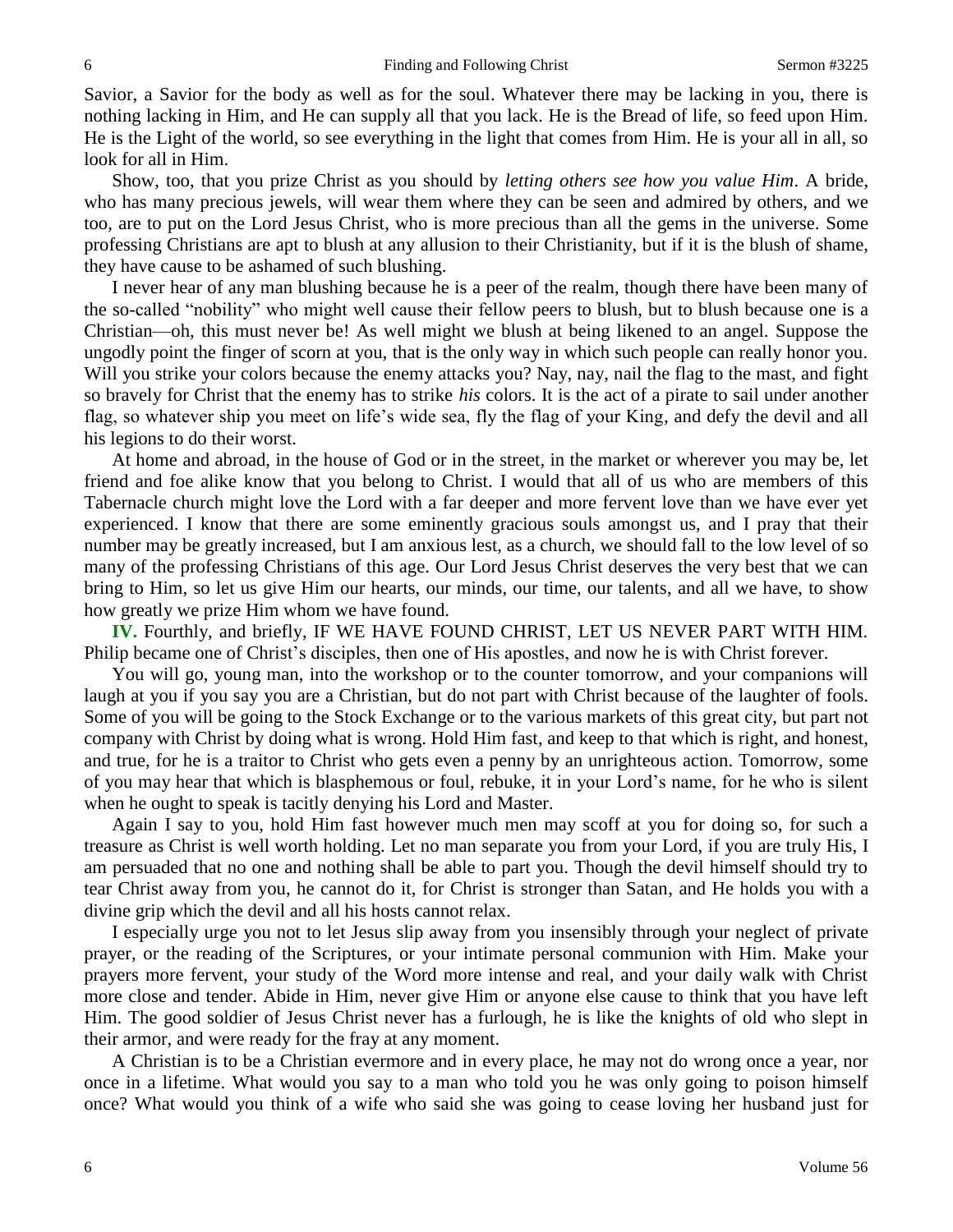Savior, a Savior for the body as well as for the soul. Whatever there may be lacking in you, there is nothing lacking in Him, and He can supply all that you lack. He is the Bread of life, so feed upon Him. He is the Light of the world, so see everything in the light that comes from Him. He is your all in all, so look for all in Him.

Show, too, that you prize Christ as you should by *letting others see how you value Him*. A bride, who has many precious jewels, will wear them where they can be seen and admired by others, and we too, are to put on the Lord Jesus Christ, who is more precious than all the gems in the universe. Some professing Christians are apt to blush at any allusion to their Christianity, but if it is the blush of shame, they have cause to be ashamed of such blushing.

I never hear of any man blushing because he is a peer of the realm, though there have been many of the so-called "nobility" who might well cause their fellow peers to blush, but to blush because one is a Christian—oh, this must never be! As well might we blush at being likened to an angel. Suppose the ungodly point the finger of scorn at you, that is the only way in which such people can really honor you. Will you strike your colors because the enemy attacks you? Nay, nay, nail the flag to the mast, and fight so bravely for Christ that the enemy has to strike *his* colors. It is the act of a pirate to sail under another flag, so whatever ship you meet on life's wide sea, fly the flag of your King, and defy the devil and all his legions to do their worst.

At home and abroad, in the house of God or in the street, in the market or wherever you may be, let friend and foe alike know that you belong to Christ. I would that all of us who are members of this Tabernacle church might love the Lord with a far deeper and more fervent love than we have ever yet experienced. I know that there are some eminently gracious souls amongst us, and I pray that their number may be greatly increased, but I am anxious lest, as a church, we should fall to the low level of so many of the professing Christians of this age. Our Lord Jesus Christ deserves the very best that we can bring to Him, so let us give Him our hearts, our minds, our time, our talents, and all we have, to show how greatly we prize Him whom we have found.

**IV.** Fourthly, and briefly, IF WE HAVE FOUND CHRIST, LET US NEVER PART WITH HIM. Philip became one of Christ's disciples, then one of His apostles, and now he is with Christ forever.

You will go, young man, into the workshop or to the counter tomorrow, and your companions will laugh at you if you say you are a Christian, but do not part with Christ because of the laughter of fools. Some of you will be going to the Stock Exchange or to the various markets of this great city, but part not company with Christ by doing what is wrong. Hold Him fast, and keep to that which is right, and honest, and true, for he is a traitor to Christ who gets even a penny by an unrighteous action. Tomorrow, some of you may hear that which is blasphemous or foul, rebuke, it in your Lord's name, for he who is silent when he ought to speak is tacitly denying his Lord and Master.

Again I say to you, hold Him fast however much men may scoff at you for doing so, for such a treasure as Christ is well worth holding. Let no man separate you from your Lord, if you are truly His, I am persuaded that no one and nothing shall be able to part you. Though the devil himself should try to tear Christ away from you, he cannot do it, for Christ is stronger than Satan, and He holds you with a divine grip which the devil and all his hosts cannot relax.

I especially urge you not to let Jesus slip away from you insensibly through your neglect of private prayer, or the reading of the Scriptures, or your intimate personal communion with Him. Make your prayers more fervent, your study of the Word more intense and real, and your daily walk with Christ more close and tender. Abide in Him, never give Him or anyone else cause to think that you have left Him. The good soldier of Jesus Christ never has a furlough, he is like the knights of old who slept in their armor, and were ready for the fray at any moment.

A Christian is to be a Christian evermore and in every place, he may not do wrong once a year, nor once in a lifetime. What would you say to a man who told you he was only going to poison himself once? What would you think of a wife who said she was going to cease loving her husband just for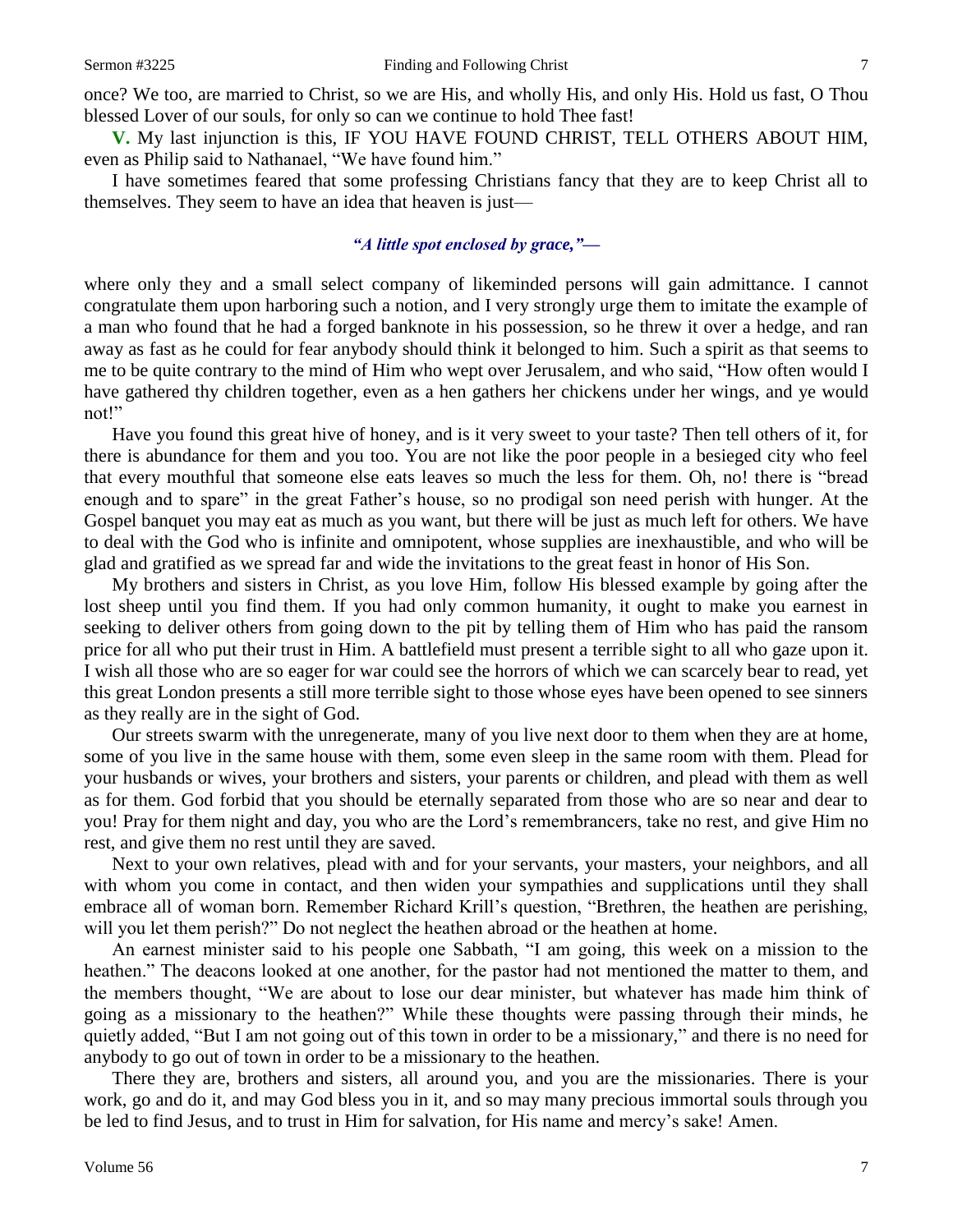once? We too, are married to Christ, so we are His, and wholly His, and only His. Hold us fast, O Thou blessed Lover of our souls, for only so can we continue to hold Thee fast!

**V.** My last injunction is this, IF YOU HAVE FOUND CHRIST, TELL OTHERS ABOUT HIM, even as Philip said to Nathanael, "We have found him."

I have sometimes feared that some professing Christians fancy that they are to keep Christ all to themselves. They seem to have an idea that heaven is just—

### *"A little spot enclosed by grace,"—*

where only they and a small select company of likeminded persons will gain admittance. I cannot congratulate them upon harboring such a notion, and I very strongly urge them to imitate the example of a man who found that he had a forged banknote in his possession, so he threw it over a hedge, and ran away as fast as he could for fear anybody should think it belonged to him. Such a spirit as that seems to me to be quite contrary to the mind of Him who wept over Jerusalem, and who said, "How often would I have gathered thy children together, even as a hen gathers her chickens under her wings, and ye would not!"

Have you found this great hive of honey, and is it very sweet to your taste? Then tell others of it, for there is abundance for them and you too. You are not like the poor people in a besieged city who feel that every mouthful that someone else eats leaves so much the less for them. Oh, no! there is "bread enough and to spare" in the great Father's house, so no prodigal son need perish with hunger. At the Gospel banquet you may eat as much as you want, but there will be just as much left for others. We have to deal with the God who is infinite and omnipotent, whose supplies are inexhaustible, and who will be glad and gratified as we spread far and wide the invitations to the great feast in honor of His Son.

My brothers and sisters in Christ, as you love Him, follow His blessed example by going after the lost sheep until you find them. If you had only common humanity, it ought to make you earnest in seeking to deliver others from going down to the pit by telling them of Him who has paid the ransom price for all who put their trust in Him. A battlefield must present a terrible sight to all who gaze upon it. I wish all those who are so eager for war could see the horrors of which we can scarcely bear to read, yet this great London presents a still more terrible sight to those whose eyes have been opened to see sinners as they really are in the sight of God.

Our streets swarm with the unregenerate, many of you live next door to them when they are at home, some of you live in the same house with them, some even sleep in the same room with them. Plead for your husbands or wives, your brothers and sisters, your parents or children, and plead with them as well as for them. God forbid that you should be eternally separated from those who are so near and dear to you! Pray for them night and day, you who are the Lord's remembrancers, take no rest, and give Him no rest, and give them no rest until they are saved.

Next to your own relatives, plead with and for your servants, your masters, your neighbors, and all with whom you come in contact, and then widen your sympathies and supplications until they shall embrace all of woman born. Remember Richard Krill's question, "Brethren, the heathen are perishing, will you let them perish?" Do not neglect the heathen abroad or the heathen at home.

An earnest minister said to his people one Sabbath, "I am going, this week on a mission to the heathen." The deacons looked at one another, for the pastor had not mentioned the matter to them, and the members thought, "We are about to lose our dear minister, but whatever has made him think of going as a missionary to the heathen?" While these thoughts were passing through their minds, he quietly added, "But I am not going out of this town in order to be a missionary," and there is no need for anybody to go out of town in order to be a missionary to the heathen.

There they are, brothers and sisters, all around you, and you are the missionaries. There is your work, go and do it, and may God bless you in it, and so may many precious immortal souls through you be led to find Jesus, and to trust in Him for salvation, for His name and mercy's sake! Amen.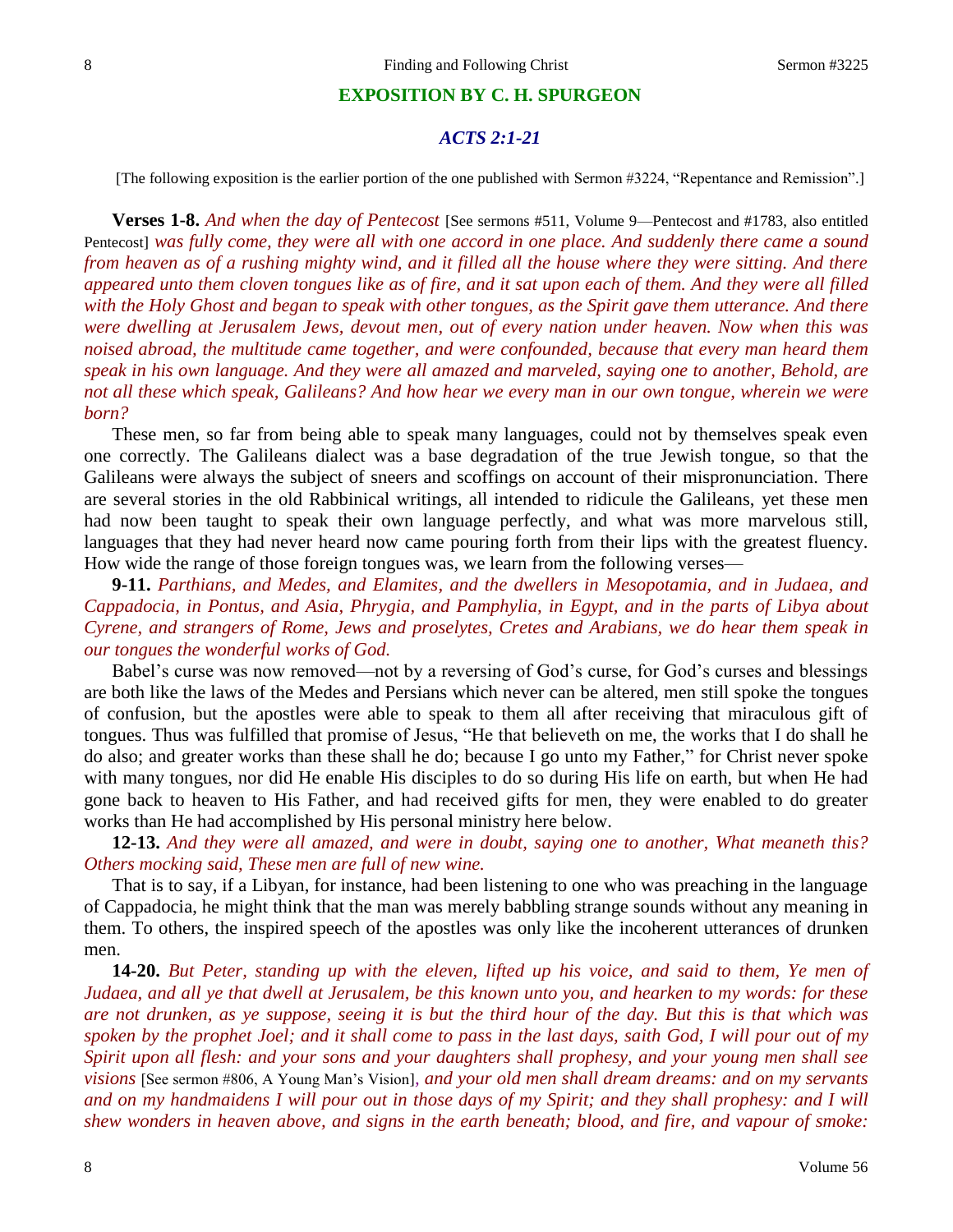### **EXPOSITION BY C. H. SPURGEON**

# *ACTS 2:1-21*

[The following exposition is the earlier portion of the one published with Sermon #3224, "Repentance and Remission".]

**Verses 1-8.** *And when the day of Pentecost* [See sermons #511, Volume 9—Pentecost and #1783, also entitled Pentecost] *was fully come, they were all with one accord in one place. And suddenly there came a sound from heaven as of a rushing mighty wind, and it filled all the house where they were sitting. And there appeared unto them cloven tongues like as of fire, and it sat upon each of them. And they were all filled with the Holy Ghost and began to speak with other tongues, as the Spirit gave them utterance. And there were dwelling at Jerusalem Jews, devout men, out of every nation under heaven. Now when this was noised abroad, the multitude came together, and were confounded, because that every man heard them speak in his own language. And they were all amazed and marveled, saying one to another, Behold, are not all these which speak, Galileans? And how hear we every man in our own tongue, wherein we were born?*

These men, so far from being able to speak many languages, could not by themselves speak even one correctly. The Galileans dialect was a base degradation of the true Jewish tongue, so that the Galileans were always the subject of sneers and scoffings on account of their mispronunciation. There are several stories in the old Rabbinical writings, all intended to ridicule the Galileans, yet these men had now been taught to speak their own language perfectly, and what was more marvelous still, languages that they had never heard now came pouring forth from their lips with the greatest fluency. How wide the range of those foreign tongues was, we learn from the following verses—

**9-11.** *Parthians, and Medes, and Elamites, and the dwellers in Mesopotamia, and in Judaea, and Cappadocia, in Pontus, and Asia, Phrygia, and Pamphylia, in Egypt, and in the parts of Libya about Cyrene, and strangers of Rome, Jews and proselytes, Cretes and Arabians, we do hear them speak in our tongues the wonderful works of God.*

Babel's curse was now removed—not by a reversing of God's curse, for God's curses and blessings are both like the laws of the Medes and Persians which never can be altered, men still spoke the tongues of confusion, but the apostles were able to speak to them all after receiving that miraculous gift of tongues. Thus was fulfilled that promise of Jesus, "He that believeth on me, the works that I do shall he do also; and greater works than these shall he do; because I go unto my Father," for Christ never spoke with many tongues, nor did He enable His disciples to do so during His life on earth, but when He had gone back to heaven to His Father, and had received gifts for men, they were enabled to do greater works than He had accomplished by His personal ministry here below.

**12-13.** *And they were all amazed, and were in doubt, saying one to another, What meaneth this? Others mocking said, These men are full of new wine.*

That is to say, if a Libyan, for instance, had been listening to one who was preaching in the language of Cappadocia, he might think that the man was merely babbling strange sounds without any meaning in them. To others, the inspired speech of the apostles was only like the incoherent utterances of drunken men.

**14-20.** *But Peter, standing up with the eleven, lifted up his voice, and said to them, Ye men of Judaea, and all ye that dwell at Jerusalem, be this known unto you, and hearken to my words: for these are not drunken, as ye suppose, seeing it is but the third hour of the day. But this is that which was spoken by the prophet Joel; and it shall come to pass in the last days, saith God, I will pour out of my Spirit upon all flesh: and your sons and your daughters shall prophesy, and your young men shall see visions* [See sermon #806, A Young Man's Vision]*, and your old men shall dream dreams: and on my servants*  and on my handmaidens I will pour out in those days of my Spirit; and they shall prophesy: and I will *shew wonders in heaven above, and signs in the earth beneath; blood, and fire, and vapour of smoke:*